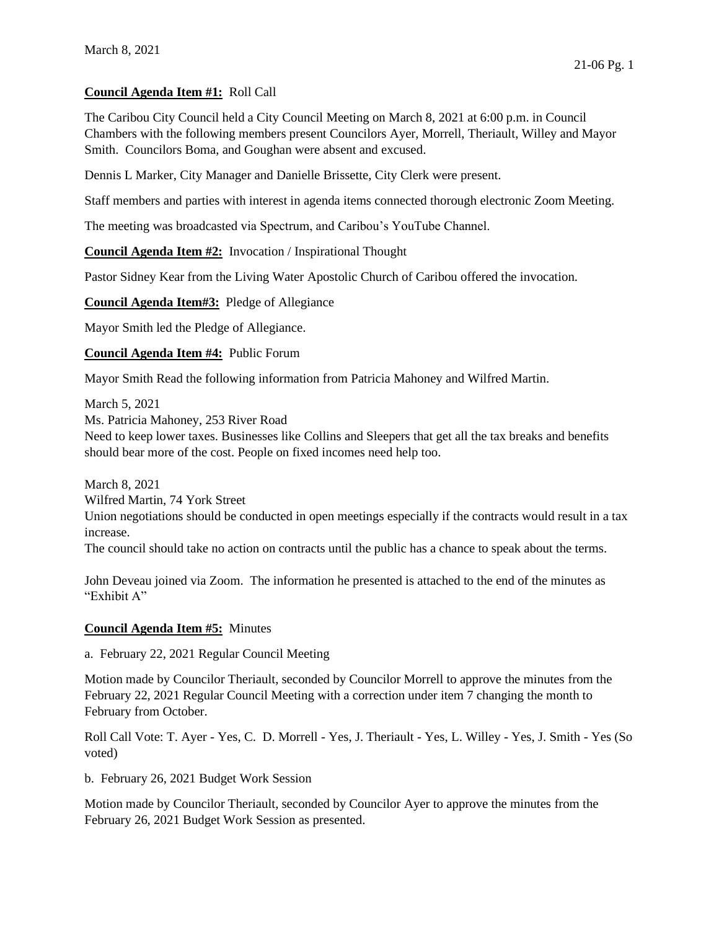# **Council Agenda Item #1:** Roll Call

The Caribou City Council held a City Council Meeting on March 8, 2021 at 6:00 p.m. in Council Chambers with the following members present Councilors Ayer, Morrell, Theriault, Willey and Mayor Smith. Councilors Boma, and Goughan were absent and excused.

Dennis L Marker, City Manager and Danielle Brissette, City Clerk were present.

Staff members and parties with interest in agenda items connected thorough electronic Zoom Meeting.

The meeting was broadcasted via Spectrum, and Caribou's YouTube Channel.

**Council Agenda Item #2:** Invocation / Inspirational Thought

Pastor Sidney Kear from the Living Water Apostolic Church of Caribou offered the invocation.

**Council Agenda Item#3:** Pledge of Allegiance

Mayor Smith led the Pledge of Allegiance.

**Council Agenda Item #4:** Public Forum

Mayor Smith Read the following information from Patricia Mahoney and Wilfred Martin.

March 5, 2021

Ms. Patricia Mahoney, 253 River Road

Need to keep lower taxes. Businesses like Collins and Sleepers that get all the tax breaks and benefits should bear more of the cost. People on fixed incomes need help too.

March 8, 2021 Wilfred Martin, 74 York Street Union negotiations should be conducted in open meetings especially if the contracts would result in a tax increase.

The council should take no action on contracts until the public has a chance to speak about the terms.

John Deveau joined via Zoom. The information he presented is attached to the end of the minutes as "Exhibit A"

#### **Council Agenda Item #5:** Minutes

a. February 22, 2021 Regular Council Meeting

Motion made by Councilor Theriault, seconded by Councilor Morrell to approve the minutes from the February 22, 2021 Regular Council Meeting with a correction under item 7 changing the month to February from October.

Roll Call Vote: T. Ayer - Yes, C. D. Morrell - Yes, J. Theriault - Yes, L. Willey - Yes, J. Smith - Yes (So voted)

b. February 26, 2021 Budget Work Session

Motion made by Councilor Theriault, seconded by Councilor Ayer to approve the minutes from the February 26, 2021 Budget Work Session as presented.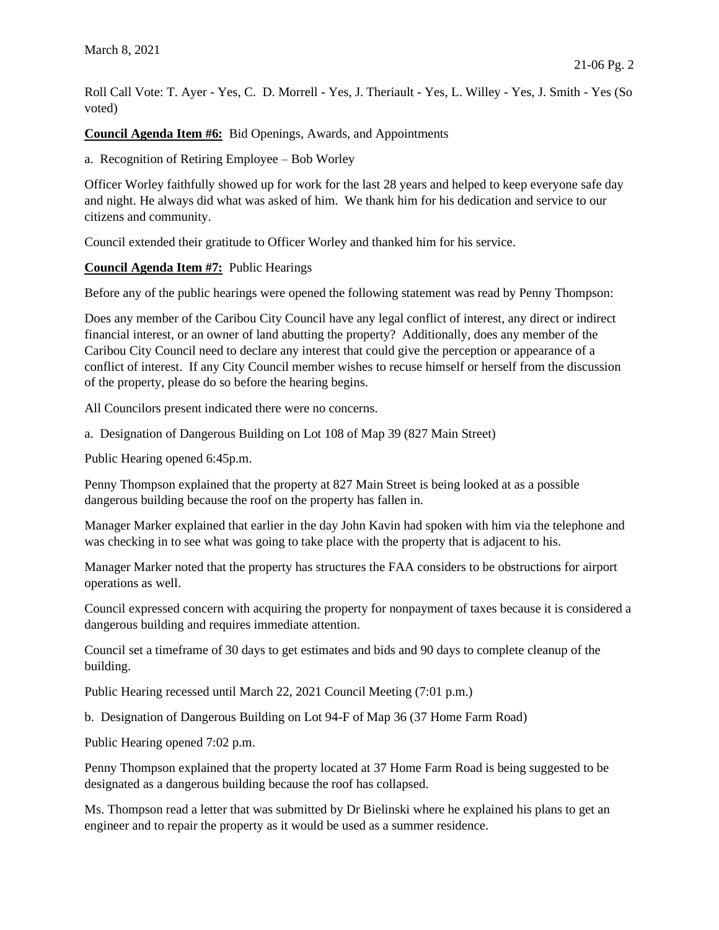Roll Call Vote: T. Ayer - Yes, C. D. Morrell - Yes, J. Theriault - Yes, L. Willey - Yes, J. Smith - Yes (So voted)

**Council Agenda Item #6:** Bid Openings, Awards, and Appointments

a. Recognition of Retiring Employee – Bob Worley

Officer Worley faithfully showed up for work for the last 28 years and helped to keep everyone safe day and night. He always did what was asked of him. We thank him for his dedication and service to our citizens and community.

Council extended their gratitude to Officer Worley and thanked him for his service.

# **Council Agenda Item #7:** Public Hearings

Before any of the public hearings were opened the following statement was read by Penny Thompson:

Does any member of the Caribou City Council have any legal conflict of interest, any direct or indirect financial interest, or an owner of land abutting the property? Additionally, does any member of the Caribou City Council need to declare any interest that could give the perception or appearance of a conflict of interest. If any City Council member wishes to recuse himself or herself from the discussion of the property, please do so before the hearing begins.

All Councilors present indicated there were no concerns.

a. Designation of Dangerous Building on Lot 108 of Map 39 (827 Main Street)

Public Hearing opened 6:45p.m.

Penny Thompson explained that the property at 827 Main Street is being looked at as a possible dangerous building because the roof on the property has fallen in.

Manager Marker explained that earlier in the day John Kavin had spoken with him via the telephone and was checking in to see what was going to take place with the property that is adjacent to his.

Manager Marker noted that the property has structures the FAA considers to be obstructions for airport operations as well.

Council expressed concern with acquiring the property for nonpayment of taxes because it is considered a dangerous building and requires immediate attention.

Council set a timeframe of 30 days to get estimates and bids and 90 days to complete cleanup of the building.

Public Hearing recessed until March 22, 2021 Council Meeting (7:01 p.m.)

b. Designation of Dangerous Building on Lot 94-F of Map 36 (37 Home Farm Road)

Public Hearing opened 7:02 p.m.

Penny Thompson explained that the property located at 37 Home Farm Road is being suggested to be designated as a dangerous building because the roof has collapsed.

Ms. Thompson read a letter that was submitted by Dr Bielinski where he explained his plans to get an engineer and to repair the property as it would be used as a summer residence.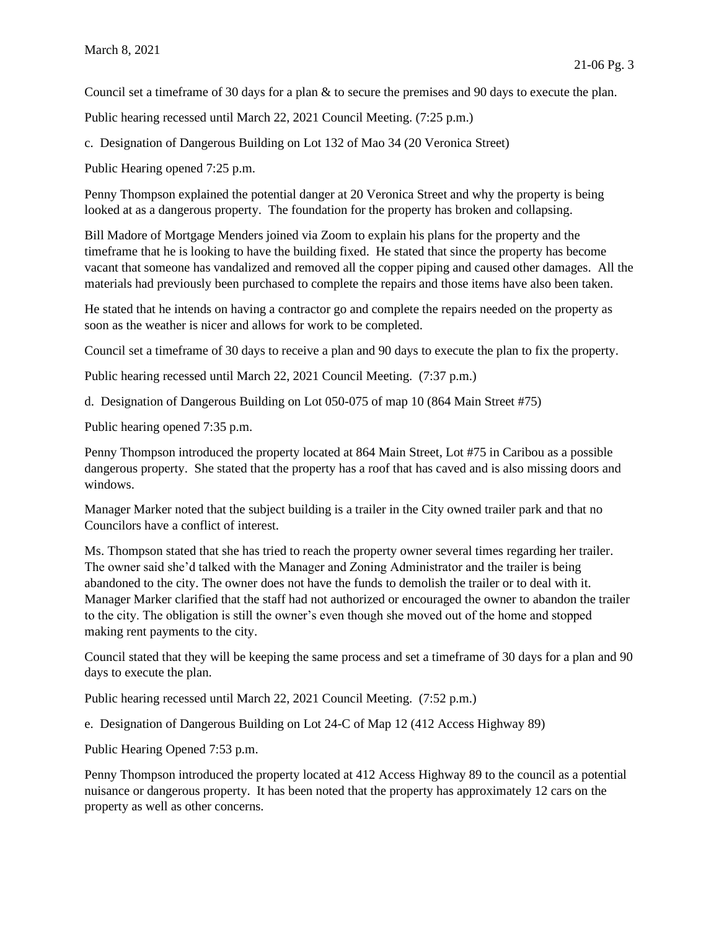Council set a timeframe of 30 days for a plan & to secure the premises and 90 days to execute the plan.

Public hearing recessed until March 22, 2021 Council Meeting. (7:25 p.m.)

c. Designation of Dangerous Building on Lot 132 of Mao 34 (20 Veronica Street)

Public Hearing opened 7:25 p.m.

Penny Thompson explained the potential danger at 20 Veronica Street and why the property is being looked at as a dangerous property. The foundation for the property has broken and collapsing.

Bill Madore of Mortgage Menders joined via Zoom to explain his plans for the property and the timeframe that he is looking to have the building fixed. He stated that since the property has become vacant that someone has vandalized and removed all the copper piping and caused other damages. All the materials had previously been purchased to complete the repairs and those items have also been taken.

He stated that he intends on having a contractor go and complete the repairs needed on the property as soon as the weather is nicer and allows for work to be completed.

Council set a timeframe of 30 days to receive a plan and 90 days to execute the plan to fix the property.

Public hearing recessed until March 22, 2021 Council Meeting. (7:37 p.m.)

d. Designation of Dangerous Building on Lot 050-075 of map 10 (864 Main Street #75)

Public hearing opened 7:35 p.m.

Penny Thompson introduced the property located at 864 Main Street, Lot #75 in Caribou as a possible dangerous property. She stated that the property has a roof that has caved and is also missing doors and windows.

Manager Marker noted that the subject building is a trailer in the City owned trailer park and that no Councilors have a conflict of interest.

Ms. Thompson stated that she has tried to reach the property owner several times regarding her trailer. The owner said she'd talked with the Manager and Zoning Administrator and the trailer is being abandoned to the city. The owner does not have the funds to demolish the trailer or to deal with it. Manager Marker clarified that the staff had not authorized or encouraged the owner to abandon the trailer to the city. The obligation is still the owner's even though she moved out of the home and stopped making rent payments to the city.

Council stated that they will be keeping the same process and set a timeframe of 30 days for a plan and 90 days to execute the plan.

Public hearing recessed until March 22, 2021 Council Meeting. (7:52 p.m.)

e. Designation of Dangerous Building on Lot 24-C of Map 12 (412 Access Highway 89)

Public Hearing Opened 7:53 p.m.

Penny Thompson introduced the property located at 412 Access Highway 89 to the council as a potential nuisance or dangerous property. It has been noted that the property has approximately 12 cars on the property as well as other concerns.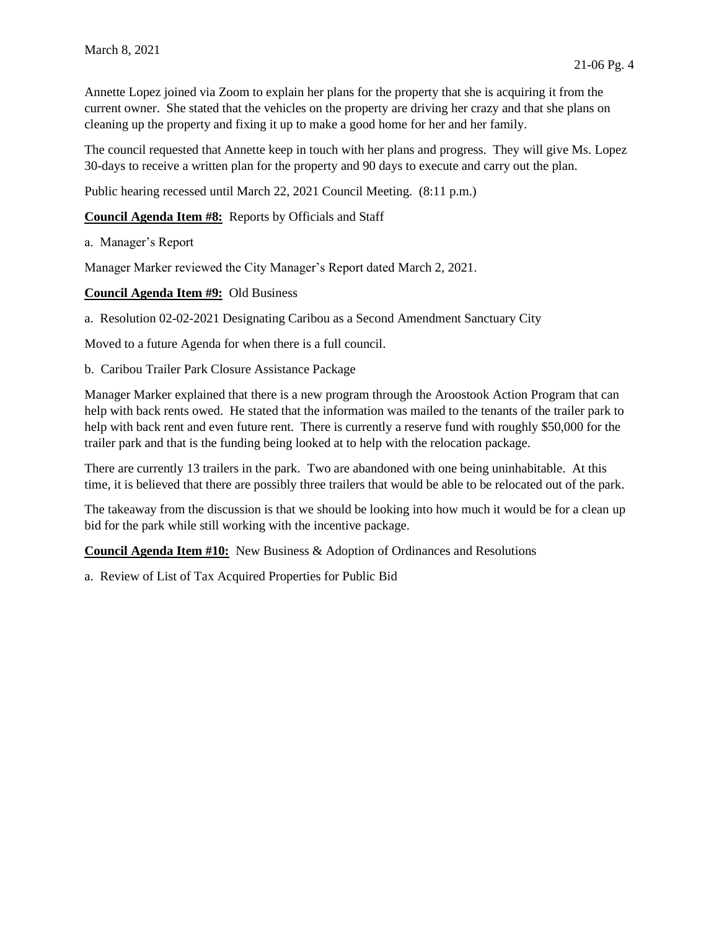Annette Lopez joined via Zoom to explain her plans for the property that she is acquiring it from the current owner. She stated that the vehicles on the property are driving her crazy and that she plans on cleaning up the property and fixing it up to make a good home for her and her family.

The council requested that Annette keep in touch with her plans and progress. They will give Ms. Lopez 30-days to receive a written plan for the property and 90 days to execute and carry out the plan.

Public hearing recessed until March 22, 2021 Council Meeting. (8:11 p.m.)

**Council Agenda Item #8:** Reports by Officials and Staff

a. Manager's Report

Manager Marker reviewed the City Manager's Report dated March 2, 2021.

**Council Agenda Item #9:** Old Business

a. Resolution 02-02-2021 Designating Caribou as a Second Amendment Sanctuary City

Moved to a future Agenda for when there is a full council.

b. Caribou Trailer Park Closure Assistance Package

Manager Marker explained that there is a new program through the Aroostook Action Program that can help with back rents owed. He stated that the information was mailed to the tenants of the trailer park to help with back rent and even future rent. There is currently a reserve fund with roughly \$50,000 for the trailer park and that is the funding being looked at to help with the relocation package.

There are currently 13 trailers in the park. Two are abandoned with one being uninhabitable. At this time, it is believed that there are possibly three trailers that would be able to be relocated out of the park.

The takeaway from the discussion is that we should be looking into how much it would be for a clean up bid for the park while still working with the incentive package.

**Council Agenda Item #10:** New Business & Adoption of Ordinances and Resolutions

a. Review of List of Tax Acquired Properties for Public Bid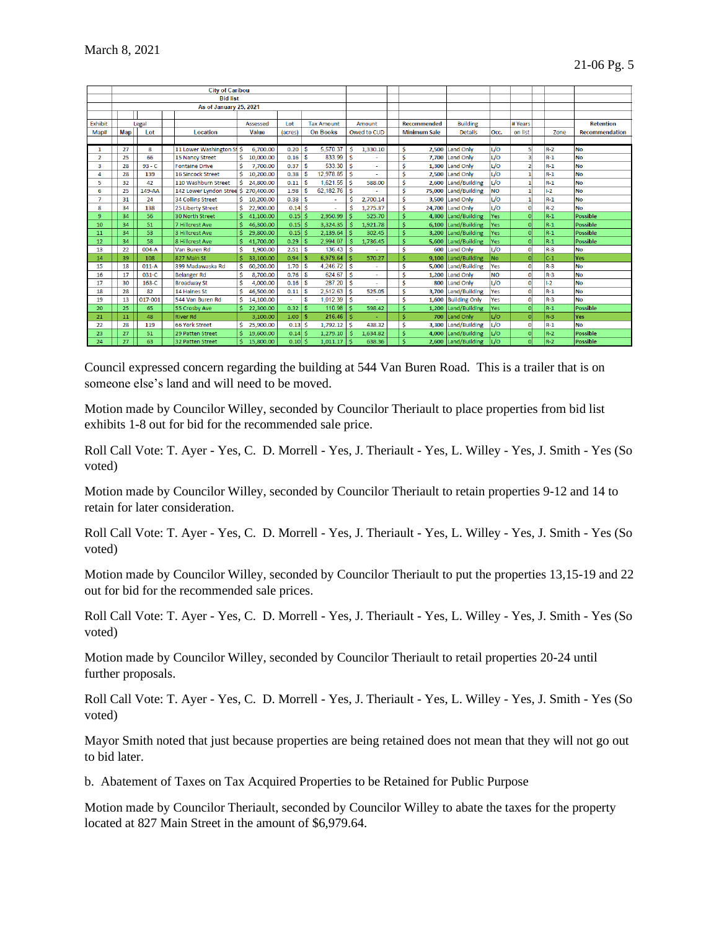|                | <b>City of Caribou</b> |                        |                                      |          |           |           |                 |                   |             |          |                     |                    |                     |           |          |                       |                  |
|----------------|------------------------|------------------------|--------------------------------------|----------|-----------|-----------|-----------------|-------------------|-------------|----------|---------------------|--------------------|---------------------|-----------|----------|-----------------------|------------------|
|                |                        | <b>Bid list</b>        |                                      |          |           |           |                 |                   |             |          |                     |                    |                     |           |          |                       |                  |
|                |                        | As of January 25, 2021 |                                      |          |           |           |                 |                   |             |          |                     |                    |                     |           |          |                       |                  |
|                |                        |                        |                                      |          |           |           |                 |                   |             |          |                     |                    |                     |           |          |                       |                  |
| Exhibit        | Legal                  |                        |                                      | Assessed |           | Lot       |                 | <b>Tax Amount</b> |             | Amount   |                     | <b>Recommended</b> | <b>Building</b>     |           | # Years  |                       | <b>Retention</b> |
| Map#           | Map                    | Lot                    | Location                             | Value    |           | (acres)   | <b>On Books</b> |                   | Owed to CUD |          | <b>Minimum Sale</b> | <b>Details</b>     | Occ.                | on list   | Zone     | <b>Recommendation</b> |                  |
|                |                        |                        |                                      |          |           |           |                 |                   |             |          |                     |                    |                     |           |          |                       |                  |
| 1              | 27                     | 8                      | 11 Lower Washington St \$            |          | 6.700.00  | 0.20      | S               | 5.570.37          | Ŝ           | 1,330.10 |                     | Ś<br>2.500         | Land Only           | L/O       |          | $R-2$                 | No               |
| $\overline{2}$ | 25                     | 66                     | 15 Nancy Street                      |          | 10,000.00 | 0.16      | S               | 833.99            | Ś           |          |                     | Ś                  | 7.700 Land Only     | L/O       | в        | $R-1$                 | No               |
| 3              | 28                     | $93 - C$               | <b>Fontaine Drive</b>                |          | 7,700.00  | 0.37      | S               | 533.30            | -Ś          |          |                     | Ś                  | 1.300 Land Only     | L/O       |          | $R-1$                 | <b>No</b>        |
| 4              | 28                     | 139                    | <b>16 Sincock Street</b>             |          | 10,200.00 | 0.38      | \$              | 12.978.85         | -Ś          |          |                     | Ś                  | 2,500 Land Only     | L/O       |          | $R-1$                 | No               |
| 5              | 32                     | 42                     | 110 Washburn Street                  | Ś.       | 24,800.00 | 0.11      | S               | 1,621.55          | -Ś          | 588.00   |                     | Ś                  | 2,600 Land/Building | L/O       |          | $R-1$                 | No               |
| 6              | 25                     | 149-AA                 | 142 Lower Lyndon Stree \$ 270.400.00 |          |           | 1.98      | S               | 62,182.76         | Ŝ           |          |                     | Ś<br>75,000        | Land/Building       | <b>NO</b> |          | $ 1-2 $               | <b>No</b>        |
| $\overline{7}$ | 31                     | 24                     | 34 Collins Street                    |          | 10,200.00 | 0.38      | S               | ä,                | Ś           | 2,700.14 |                     | Ś<br>3,500         | <b>Land Only</b>    | L/O       |          | $R-1$                 | No               |
| 8              | 34                     | 138                    | 25 Liberty Street                    | Ś.       | 22.900.00 | $0.14$ \$ |                 |                   | \$          | 1.275.37 |                     | Ś                  | 24.700 Land Only    | L/O       | $\Omega$ | $R-2$                 | No               |
| 9              | 34                     | 56                     | 30 North Street                      |          | 41,100.00 | $0.15$ \$ |                 | 2,950.99          |             | 525.70   |                     | Ś                  | 4,300 Land/Building | Yes       |          | $R-1$                 | Possible         |
| 10             | 34                     | 51                     | 7 Hillcrest Ave                      |          | 46,300.00 | 0.15      | Ŝ               | 3,324.35          | -Ś          | 1,921.78 |                     | Ś<br>6.100         | Land/Building       | Yes       | $\Omega$ | $R-1$                 | Possible         |
| 11             | 34                     | 53                     | 3 Hillcrest Ave                      |          | 29,800.00 | $0.15$ \$ |                 | 2,139.64          | Š.          | 302.45   |                     | Ś<br>3,200         | Land/Building       | Yes       | $\Omega$ | $R-1$                 | Possible         |
| 12             | 34                     | 58                     | 8 Hillcrest Ave                      |          | 41,700.00 | 0.29      | - \$            | 2.994.07          |             | 1,736.45 |                     |                    | 5,600 Land/Building | Yes       | $\Omega$ | lr-1                  | Possible         |
| 13             | 22                     | $004-A$                | Van Buren Rd                         | Ś        | 1,900.00  | 2.51      | \$              | 136.43            | -ś          |          |                     | Ś<br>600           | <b>Land Only</b>    | L/O       | $\Omega$ | $R-3$                 | No               |
| 14             | 39                     | 108                    | 827 Main St                          |          | 33,100.00 | 0.94      | -S              | 6.979.64          | Š           | 570.27   |                     | 9.100              | Land/Building       | <b>No</b> |          | $ c_1 $               | Yes              |
| 15             | 18                     | $011-A$                | 399 Madawaska Rd                     |          | 60,200.00 | 1.70      | S               | 4,246.72          | -Ś          |          |                     | 5.000<br>Ŝ         | Land/Building       | Yes       | n        | $R-3$                 | No               |
| 16             | 17                     | 031-C                  | <b>Belanger Rd</b>                   | Ś        | 8,700.00  | 0.76      | S               | 624.67            | Ŝ           |          |                     | Ś<br>1.200         | <b>Land Only</b>    | NO        | n        | $R-3$                 | No               |
| 17             | 30                     | $163-C$                | <b>Broadway St</b>                   | Ś        | 4,000.00  | 0.16      | S               | 287.20            | Ŝ           |          |                     | \$<br>800          | <b>Land Only</b>    | L/O       | $\Omega$ | $1-2$                 | No               |
| 18             | 28                     | 82                     | 14 Haines St                         | Ś        | 46,500.00 | 0.11      | S               | 2,512.63          | -Ś          | 525.05   |                     | Ś<br>3,700         | Land/Building       | Yes       | n        | $R-1$                 | No               |
| 19             | 13                     | 017-001                | 544 Van Buren Rd                     | Ś.       | 14,100.00 | ä,        | s               | 1.012.39          | -Ś          |          |                     | Ś                  | 1,600 Building Only | Yes       | $\Omega$ | $R-3$                 | <b>No</b>        |
| 20             | 25                     | 65                     | 55 Crosby Ave                        |          | 22,300.00 | 0.32      | $\mathbf{s}$    | 110.98            | -Ś          | 598.42   |                     |                    | 1,200 Land/Building | Yes       |          | $R-1$                 | <b>Possible</b>  |
| 21             | 11                     | 48                     | <b>River Rd</b>                      |          | 3.100.00  | 1.00      | -S              | 216.46            | Ŝ           |          |                     | Š.<br>700          | Land Only           | L/O       |          | l R-3                 | Yes              |
| 22             | 28                     | 119                    | <b>66 York Street</b>                | Ś.       | 25,900.00 | 0.13      | Ŝ               | 1,792.12          | ۱Ś          | 438.32   |                     | Ś                  | 3,300 Land/Building | L/O       | $\Omega$ | $R-1$                 | No               |
| 23             | 27                     | 51                     | 29 Patten Street                     |          | 19,600,00 | $0.14$ \$ |                 | 1.279.10          | -Ś          | 1.634.82 |                     | Ś                  | 4,000 Land/Building | L/O       |          | $R-2$                 | Possible         |
| 24             | 27                     | 63                     | <b>32 Patten Street</b>              | Ś.       | 15,800.00 | $0.10$ \$ |                 | 1,011.17          | ١ś          | 638.36   |                     | Ś                  | 2,600 Land/Building | L/O       | $\Omega$ | R-2                   | Possible         |

Council expressed concern regarding the building at 544 Van Buren Road. This is a trailer that is on someone else's land and will need to be moved.

Motion made by Councilor Willey, seconded by Councilor Theriault to place properties from bid list exhibits 1-8 out for bid for the recommended sale price.

Roll Call Vote: T. Ayer - Yes, C. D. Morrell - Yes, J. Theriault - Yes, L. Willey - Yes, J. Smith - Yes (So voted)

Motion made by Councilor Willey, seconded by Councilor Theriault to retain properties 9-12 and 14 to retain for later consideration.

Roll Call Vote: T. Ayer - Yes, C. D. Morrell - Yes, J. Theriault - Yes, L. Willey - Yes, J. Smith - Yes (So voted)

Motion made by Councilor Willey, seconded by Councilor Theriault to put the properties 13,15-19 and 22 out for bid for the recommended sale prices.

Roll Call Vote: T. Ayer - Yes, C. D. Morrell - Yes, J. Theriault - Yes, L. Willey - Yes, J. Smith - Yes (So voted)

Motion made by Councilor Willey, seconded by Councilor Theriault to retail properties 20-24 until further proposals.

Roll Call Vote: T. Ayer - Yes, C. D. Morrell - Yes, J. Theriault - Yes, L. Willey - Yes, J. Smith - Yes (So voted)

Mayor Smith noted that just because properties are being retained does not mean that they will not go out to bid later.

b. Abatement of Taxes on Tax Acquired Properties to be Retained for Public Purpose

Motion made by Councilor Theriault, seconded by Councilor Willey to abate the taxes for the property located at 827 Main Street in the amount of \$6,979.64.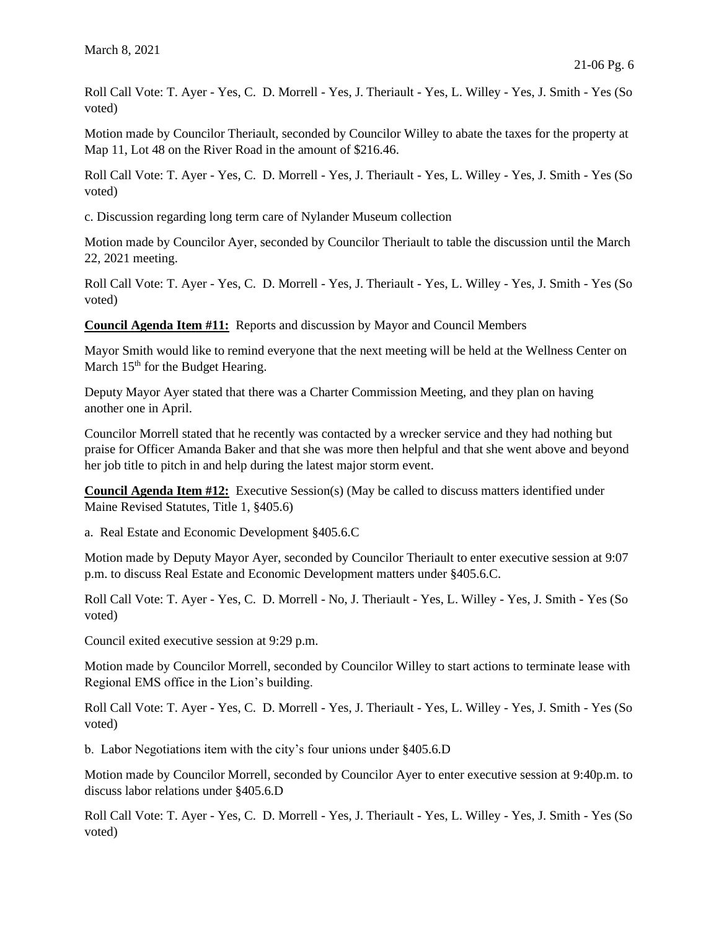Roll Call Vote: T. Ayer - Yes, C. D. Morrell - Yes, J. Theriault - Yes, L. Willey - Yes, J. Smith - Yes (So voted)

Motion made by Councilor Theriault, seconded by Councilor Willey to abate the taxes for the property at Map 11, Lot 48 on the River Road in the amount of \$216.46.

Roll Call Vote: T. Ayer - Yes, C. D. Morrell - Yes, J. Theriault - Yes, L. Willey - Yes, J. Smith - Yes (So voted)

c. Discussion regarding long term care of Nylander Museum collection

Motion made by Councilor Ayer, seconded by Councilor Theriault to table the discussion until the March 22, 2021 meeting.

Roll Call Vote: T. Ayer - Yes, C. D. Morrell - Yes, J. Theriault - Yes, L. Willey - Yes, J. Smith - Yes (So voted)

**Council Agenda Item #11:** Reports and discussion by Mayor and Council Members

Mayor Smith would like to remind everyone that the next meeting will be held at the Wellness Center on March  $15<sup>th</sup>$  for the Budget Hearing.

Deputy Mayor Ayer stated that there was a Charter Commission Meeting, and they plan on having another one in April.

Councilor Morrell stated that he recently was contacted by a wrecker service and they had nothing but praise for Officer Amanda Baker and that she was more then helpful and that she went above and beyond her job title to pitch in and help during the latest major storm event.

**Council Agenda Item #12:** Executive Session(s) (May be called to discuss matters identified under Maine Revised Statutes, Title 1, §405.6)

a. Real Estate and Economic Development §405.6.C

Motion made by Deputy Mayor Ayer, seconded by Councilor Theriault to enter executive session at 9:07 p.m. to discuss Real Estate and Economic Development matters under §405.6.C.

Roll Call Vote: T. Ayer - Yes, C. D. Morrell - No, J. Theriault - Yes, L. Willey - Yes, J. Smith - Yes (So voted)

Council exited executive session at 9:29 p.m.

Motion made by Councilor Morrell, seconded by Councilor Willey to start actions to terminate lease with Regional EMS office in the Lion's building.

Roll Call Vote: T. Ayer - Yes, C. D. Morrell - Yes, J. Theriault - Yes, L. Willey - Yes, J. Smith - Yes (So voted)

b. Labor Negotiations item with the city's four unions under §405.6.D

Motion made by Councilor Morrell, seconded by Councilor Ayer to enter executive session at 9:40p.m. to discuss labor relations under §405.6.D

Roll Call Vote: T. Ayer - Yes, C. D. Morrell - Yes, J. Theriault - Yes, L. Willey - Yes, J. Smith - Yes (So voted)